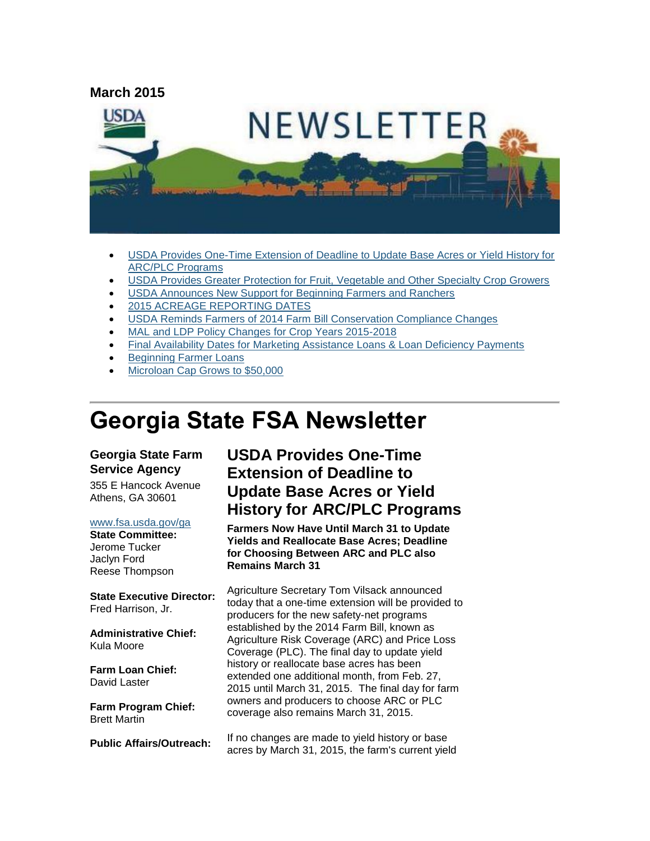

- [USDA Provides One-Time Extension of Deadline to Update Base Acres or Yield History for](#page-0-0)  [ARC/PLC Programs](#page-0-0)
- [USDA Provides Greater Protection for Fruit, Vegetable and Other Specialty Crop Growers](#page-1-0)
- [USDA Announces New Support for Beginning Farmers and Ranchers](#page-2-0)
- [2015 ACREAGE REPORTING DATES](#page-3-0)
- [USDA Reminds Farmers of 2014 Farm Bill Conservation Compliance Changes](#page-3-1)
- [MAL and LDP Policy Changes for Crop Years 2015-2018](#page-5-0)
- [Final Availability Dates for Marketing Assistance Loans & Loan Deficiency Payments](#page-6-0)
- [Beginning Farmer Loans](#page-6-1)
- [Microloan Cap Grows to \\$50,000](#page-6-2)

# **Georgia State FSA Newsletter**

#### **Georgia State Farm Service Agency**

355 E Hancock Avenue Athens, GA 30601

#### [www.fsa.usda.gov/ga](http://www.fsa.usda.gov/ga)

**State Committee:** Jerome Tucker Jaclyn Ford Reese Thompson

**State Executive Director:** Fred Harrison, Jr.

**Administrative Chief:** Kula Moore

**Farm Loan Chief:** David Laster

**Farm Program Chief:** Brett Martin

**Public Affairs/Outreach:**

# <span id="page-0-0"></span>**USDA Provides One-Time Extension of Deadline to Update Base Acres or Yield History for ARC/PLC Programs**

**Farmers Now Have Until March 31 to Update Yields and Reallocate Base Acres; Deadline for Choosing Between ARC and PLC also Remains March 31**

Agriculture Secretary Tom Vilsack announced today that a one-time extension will be provided to producers for the new safety-net programs established by the 2014 Farm Bill, known as Agriculture Risk Coverage (ARC) and Price Loss Coverage (PLC). The final day to update yield history or reallocate base acres has been extended one additional month, from Feb. 27, 2015 until March 31, 2015. The final day for farm owners and producers to choose ARC or PLC coverage also remains March 31, 2015.

If no changes are made to yield history or base acres by March 31, 2015, the farm's current yield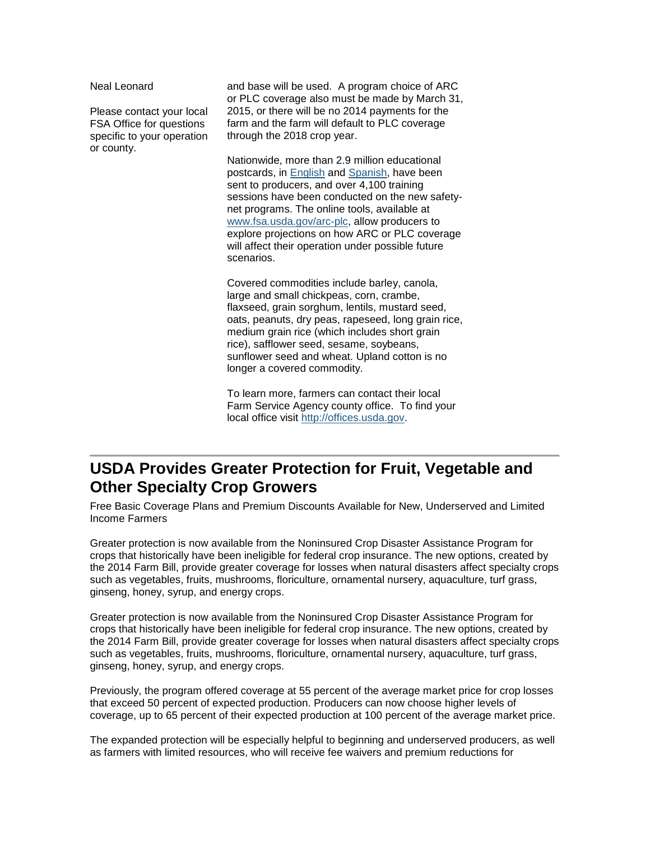Neal Leonard

Please contact your local FSA Office for questions specific to your operation or county.

and base will be used. A program choice of ARC or PLC coverage also must be made by March 31, 2015, or there will be no 2014 payments for the farm and the farm will default to PLC coverage through the 2018 crop year.

Nationwide, more than 2.9 million educational postcards, in [English](http://go.usa.gov/3czYC) and [Spanish,](http://go.usa.gov/3czrP) have been sent to producers, and over 4,100 training sessions have been conducted on the new safetynet programs. The online tools, available at [www.fsa.usda.gov/arc-plc,](http://www.fsa.usda.gov/arc-plc) allow producers to explore projections on how ARC or PLC coverage will affect their operation under possible future scenarios.

Covered commodities include barley, canola, large and small chickpeas, corn, crambe, flaxseed, grain sorghum, lentils, mustard seed, oats, peanuts, dry peas, rapeseed, long grain rice, medium grain rice (which includes short grain rice), safflower seed, sesame, soybeans, sunflower seed and wheat. Upland cotton is no longer a covered commodity.

To learn more, farmers can contact their local Farm Service Agency county office. To find your local office visit [http://offices.usda.gov.](http://offices.usda.gov/)

# <span id="page-1-0"></span>**USDA Provides Greater Protection for Fruit, Vegetable and Other Specialty Crop Growers**

Free Basic Coverage Plans and Premium Discounts Available for New, Underserved and Limited Income Farmers

Greater protection is now available from the Noninsured Crop Disaster Assistance Program for crops that historically have been ineligible for federal crop insurance. The new options, created by the 2014 Farm Bill, provide greater coverage for losses when natural disasters affect specialty crops such as vegetables, fruits, mushrooms, floriculture, ornamental nursery, aquaculture, turf grass, ginseng, honey, syrup, and energy crops.

Greater protection is now available from the Noninsured Crop Disaster Assistance Program for crops that historically have been ineligible for federal crop insurance. The new options, created by the 2014 Farm Bill, provide greater coverage for losses when natural disasters affect specialty crops such as vegetables, fruits, mushrooms, floriculture, ornamental nursery, aquaculture, turf grass, ginseng, honey, syrup, and energy crops.

Previously, the program offered coverage at 55 percent of the average market price for crop losses that exceed 50 percent of expected production. Producers can now choose higher levels of coverage, up to 65 percent of their expected production at 100 percent of the average market price.

The expanded protection will be especially helpful to beginning and underserved producers, as well as farmers with limited resources, who will receive fee waivers and premium reductions for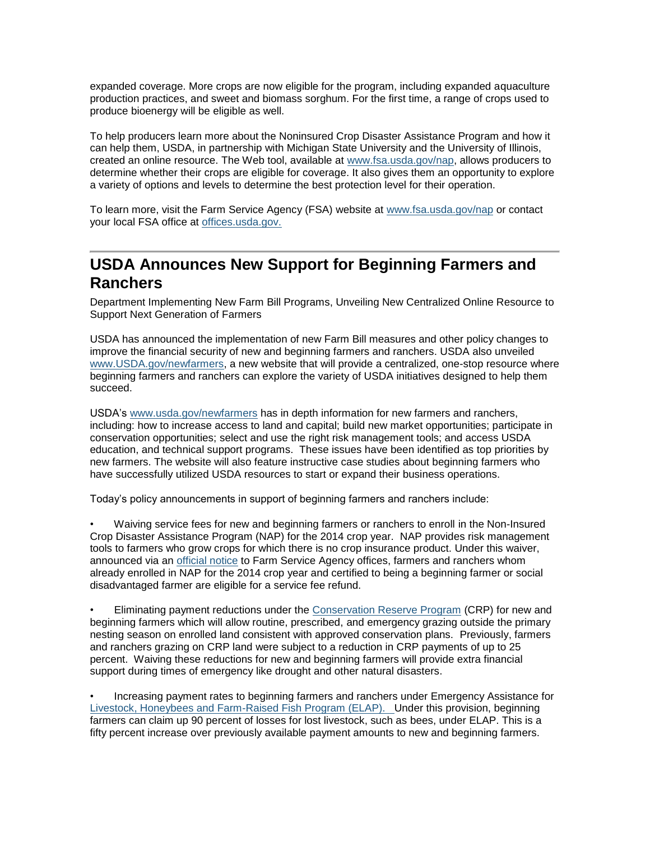expanded coverage. More crops are now eligible for the program, including expanded aquaculture production practices, and sweet and biomass sorghum. For the first time, a range of crops used to produce bioenergy will be eligible as well.

To help producers learn more about the Noninsured Crop Disaster Assistance Program and how it can help them, USDA, in partnership with Michigan State University and the University of Illinois, created an online resource. The Web tool, available at [www.fsa.usda.gov/nap,](http://www.fsa.usda.gov/nap) allows producers to determine whether their crops are eligible for coverage. It also gives them an opportunity to explore a variety of options and levels to determine the best protection level for their operation.

To learn more, visit the Farm Service Agency (FSA) website at [www.fsa.usda.gov/nap](http://www.fsa.usda.gov/nap) or contact your local FSA office at [offices.usda.gov.](http://offices.sc.egov.usda.gov/locator/app)

### <span id="page-2-0"></span>**USDA Announces New Support for Beginning Farmers and Ranchers**

Department Implementing New Farm Bill Programs, Unveiling New Centralized Online Resource to Support Next Generation of Farmers

USDA has announced the implementation of new Farm Bill measures and other policy changes to improve the financial security of new and beginning farmers and ranchers. USDA also unveiled [www.USDA.gov/newfarmers,](http://www.usda.gov/wps/portal/usda/newfarmers?navid=newfarmers) a new website that will provide a centralized, one-stop resource where beginning farmers and ranchers can explore the variety of USDA initiatives designed to help them succeed.

USDA's [www.usda.gov/newfarmers](http://www.usda.gov/newfarmers) has in depth information for new farmers and ranchers, including: how to increase access to land and capital; build new market opportunities; participate in conservation opportunities; select and use the right risk management tools; and access USDA education, and technical support programs. These issues have been identified as top priorities by new farmers. The website will also feature instructive case studies about beginning farmers who have successfully utilized USDA resources to start or expand their business operations.

Today's policy announcements in support of beginning farmers and ranchers include:

• Waiving service fees for new and beginning farmers or ranchers to enroll in the Non-Insured Crop Disaster Assistance Program (NAP) for the 2014 crop year. NAP provides risk management tools to farmers who grow crops for which there is no crop insurance product. Under this waiver, announced via an [official](http://www.fsa.usda.gov/Internet/FSA_Notice/nap_162.pdf) notice to Farm Service Agency offices, farmers and ranchers whom already enrolled in NAP for the 2014 crop year and certified to being a beginning farmer or social disadvantaged farmer are eligible for a service fee refund.

• Eliminating payment reductions under the [Conservation Reserve Program](http://www.fsa.usda.gov/FSA/webapp?area=home&subject=copr&topic=crp) (CRP) for new and beginning farmers which will allow routine, prescribed, and emergency grazing outside the primary nesting season on enrolled land consistent with approved conservation plans. Previously, farmers and ranchers grazing on CRP land were subject to a reduction in CRP payments of up to 25 percent. Waiving these reductions for new and beginning farmers will provide extra financial support during times of emergency like drought and other natural disasters.

• Increasing payment rates to beginning farmers and ranchers under Emergency Assistance for [Livestock, Honeybees and Farm-Raised Fish Program \(ELAP\). U](http://www.fsa.usda.gov/Internet/FSA_File/elap_honeybee_fact_sht.pdf)nder this provision, beginning farmers can claim up 90 percent of losses for lost livestock, such as bees, under ELAP. This is a fifty percent increase over previously available payment amounts to new and beginning farmers.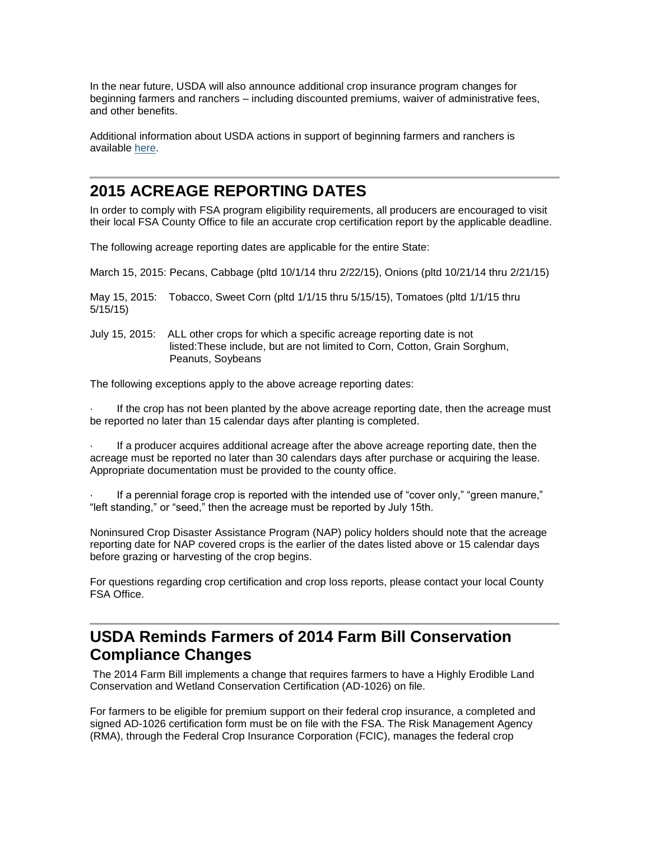In the near future, USDA will also announce additional crop insurance program changes for beginning farmers and ranchers – including discounted premiums, waiver of administrative fees, and other benefits.

Additional information about USDA actions in support of beginning farmers and ranchers is available [here.](http://www.usda.gov/wps/portal/usda/usdahome?contentidonly=true&contentid=usda-results-beginning-farmers.html)

# <span id="page-3-0"></span>**2015 ACREAGE REPORTING DATES**

In order to comply with FSA program eligibility requirements, all producers are encouraged to visit their local FSA County Office to file an accurate crop certification report by the applicable deadline.

The following acreage reporting dates are applicable for the entire State:

March 15, 2015: Pecans, Cabbage (pltd 10/1/14 thru 2/22/15), Onions (pltd 10/21/14 thru 2/21/15)

May 15, 2015: Tobacco, Sweet Corn (pltd 1/1/15 thru 5/15/15), Tomatoes (pltd 1/1/15 thru 5/15/15)

July 15, 2015: ALL other crops for which a specific acreage reporting date is not listed:These include, but are not limited to Corn, Cotton, Grain Sorghum, Peanuts, Soybeans

The following exceptions apply to the above acreage reporting dates:

If the crop has not been planted by the above acreage reporting date, then the acreage must be reported no later than 15 calendar days after planting is completed.

· If a producer acquires additional acreage after the above acreage reporting date, then the acreage must be reported no later than 30 calendars days after purchase or acquiring the lease. Appropriate documentation must be provided to the county office.

If a perennial forage crop is reported with the intended use of "cover only," "green manure," "left standing," or "seed," then the acreage must be reported by July 15th.

Noninsured Crop Disaster Assistance Program (NAP) policy holders should note that the acreage reporting date for NAP covered crops is the earlier of the dates listed above or 15 calendar days before grazing or harvesting of the crop begins.

For questions regarding crop certification and crop loss reports, please contact your local County FSA Office.

# <span id="page-3-1"></span>**USDA Reminds Farmers of 2014 Farm Bill Conservation Compliance Changes**

The 2014 Farm Bill implements a change that requires farmers to have a Highly Erodible Land Conservation and Wetland Conservation Certification (AD-1026) on file.

For farmers to be eligible for premium support on their federal crop insurance, a completed and signed AD-1026 certification form must be on file with the FSA. The Risk Management Agency (RMA), through the Federal Crop Insurance Corporation (FCIC), manages the federal crop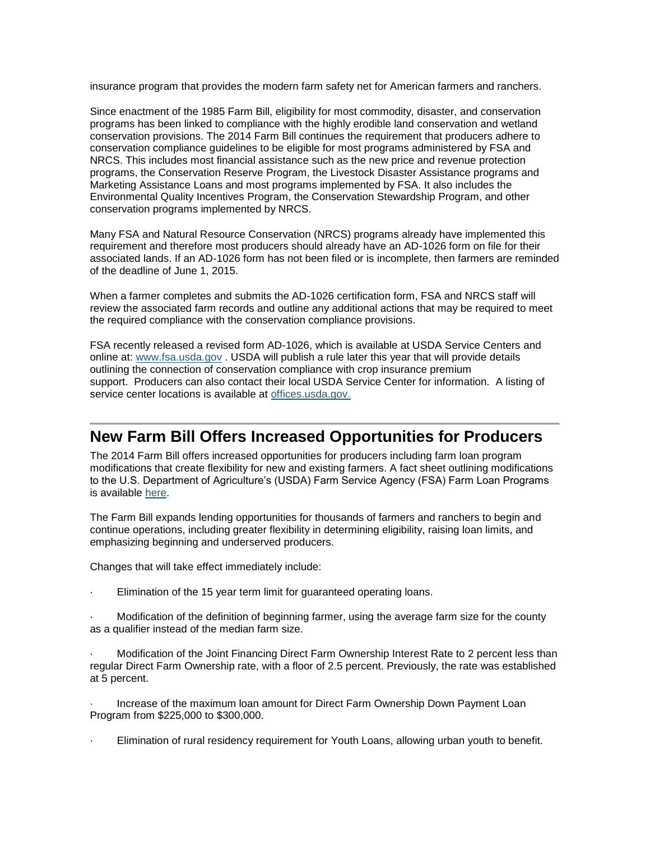insurance program that provides the modern farm safety net for American farmers and ranchers.

Since enactment of the 1985 Farm Bill, eligibility for most commodity, disaster, and conservation programs has been linked to compliance with the highly erodible land conservation and wetland conservation provisions. The 2014 Farm Bill continues the requirement that producers adhere to conservation compliance guidelines to be eligible for most programs administered by FSA and NRCS. This includes most financial assistance such as the new price and revenue protection programs, the Conservation Reserve Program, the Livestock Disaster Assistance programs and Marketing Assistance Loans and most programs implemented by FSA. It also includes the Environmental Quality Incentives Program, the Conservation Stewardship Program, and other conservation programs implemented by NRCS.

Many FSA and Natural Resource Conservation (NRCS) programs already have implemented this requirement and therefore most producers should already have an AD-1026 form on file for their associated lands. If an AD-1026 form has not been filed or is incomplete, then farmers are reminded of the deadline of June 1, 2015.

When a farmer completes and submits the AD-1026 certification form, FSA and NRCS staff will review the associated farm records and outline any additional actions that may be required to meet the required compliance with the conservation compliance provisions.

FSA recently released a revised form AD-1026, which is available at USDA Service Centers and online at: [www.fsa.usda.gov](http://www.fsa.usda.gov/) . USDA will publish a rule later this year that will provide details outlining the connection of conservation compliance with crop insurance premium support. Producers can also contact their local USDA Service Center for information. A listing of service center locations is available at [offices.usda.gov.](http://offices.sc.egov.usda.gov/locator/app)

#### **New Farm Bill Offers Increased Opportunities for Producers**

The 2014 Farm Bill offers increased opportunities for producers including farm loan program modifications that create flexibility for new and existing farmers. A fact sheet outlining modifications to the U.S. Department of Agriculture's (USDA) Farm Service Agency (FSA) Farm Loan Programs is available [here.](http://fsa.usda.gov/FSA/newsReleases?area=newsroom&subject=landing&topic=pfs&newstype=prfactsheet&type=detail&item=pf_20140324_insup_en_fbill.html)

The Farm Bill expands lending opportunities for thousands of farmers and ranchers to begin and continue operations, including greater flexibility in determining eligibility, raising loan limits, and emphasizing beginning and underserved producers.

Changes that will take effect immediately include:

Elimination of the 15 year term limit for guaranteed operating loans.

· Modification of the definition of beginning farmer, using the average farm size for the county as a qualifier instead of the median farm size.

Modification of the Joint Financing Direct Farm Ownership Interest Rate to 2 percent less than regular Direct Farm Ownership rate, with a floor of 2.5 percent. Previously, the rate was established at 5 percent.

· Increase of the maximum loan amount for Direct Farm Ownership Down Payment Loan Program from \$225,000 to \$300,000.

Elimination of rural residency requirement for Youth Loans, allowing urban youth to benefit.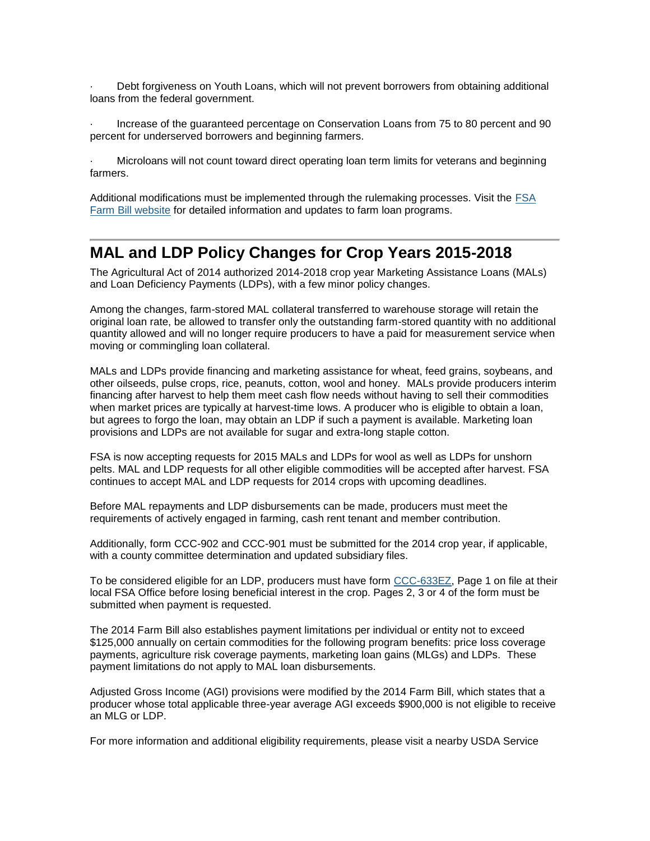Debt forgiveness on Youth Loans, which will not prevent borrowers from obtaining additional loans from the federal government.

· Increase of the guaranteed percentage on Conservation Loans from 75 to 80 percent and 90 percent for underserved borrowers and beginning farmers.

· Microloans will not count toward direct operating loan term limits for veterans and beginning farmers.

Additional modifications must be implemented through the rulemaking processes. Visit the [FSA](http://fsa.usda.gov/FSA/fbapp?area=home&subject=landing&topic=landing&utm_source=spotlight&utm_medium=click&utm_content=rotation1&utm_campaign=2014farmbill)  [Farm Bill website](http://fsa.usda.gov/FSA/fbapp?area=home&subject=landing&topic=landing&utm_source=spotlight&utm_medium=click&utm_content=rotation1&utm_campaign=2014farmbill) for detailed information and updates to farm loan programs.

#### <span id="page-5-0"></span>**MAL and LDP Policy Changes for Crop Years 2015-2018**

The Agricultural Act of 2014 authorized 2014-2018 crop year Marketing Assistance Loans (MALs) and Loan Deficiency Payments (LDPs), with a few minor policy changes.

Among the changes, farm-stored MAL collateral transferred to warehouse storage will retain the original loan rate, be allowed to transfer only the outstanding farm-stored quantity with no additional quantity allowed and will no longer require producers to have a paid for measurement service when moving or commingling loan collateral.

MALs and LDPs provide financing and marketing assistance for wheat, feed grains, soybeans, and other oilseeds, pulse crops, rice, peanuts, cotton, wool and honey. MALs provide producers interim financing after harvest to help them meet cash flow needs without having to sell their commodities when market prices are typically at harvest-time lows. A producer who is eligible to obtain a loan, but agrees to forgo the loan, may obtain an LDP if such a payment is available. Marketing loan provisions and LDPs are not available for sugar and extra-long staple cotton.

FSA is now accepting requests for 2015 MALs and LDPs for wool as well as LDPs for unshorn pelts. MAL and LDP requests for all other eligible commodities will be accepted after harvest. FSA continues to accept MAL and LDP requests for 2014 crops with upcoming deadlines.

Before MAL repayments and LDP disbursements can be made, producers must meet the requirements of actively engaged in farming, cash rent tenant and member contribution.

Additionally, form CCC-902 and CCC-901 must be submitted for the 2014 crop year, if applicable, with a county committee determination and updated subsidiary files.

To be considered eligible for an LDP, producers must have form [CCC-633EZ,](http://forms.sc.egov.usda.gov/efcommon/eFileServices/eFormsAdmin/CCC0633EZ_140328V03.pdf) Page 1 on file at their local FSA Office before losing beneficial interest in the crop. Pages 2, 3 or 4 of the form must be submitted when payment is requested.

The 2014 Farm Bill also establishes payment limitations per individual or entity not to exceed \$125,000 annually on certain commodities for the following program benefits: price loss coverage payments, agriculture risk coverage payments, marketing loan gains (MLGs) and LDPs. These payment limitations do not apply to MAL loan disbursements.

Adjusted Gross Income (AGI) provisions were modified by the 2014 Farm Bill, which states that a producer whose total applicable three-year average AGI exceeds \$900,000 is not eligible to receive an MLG or LDP.

For more information and additional eligibility requirements, please visit a nearby USDA Service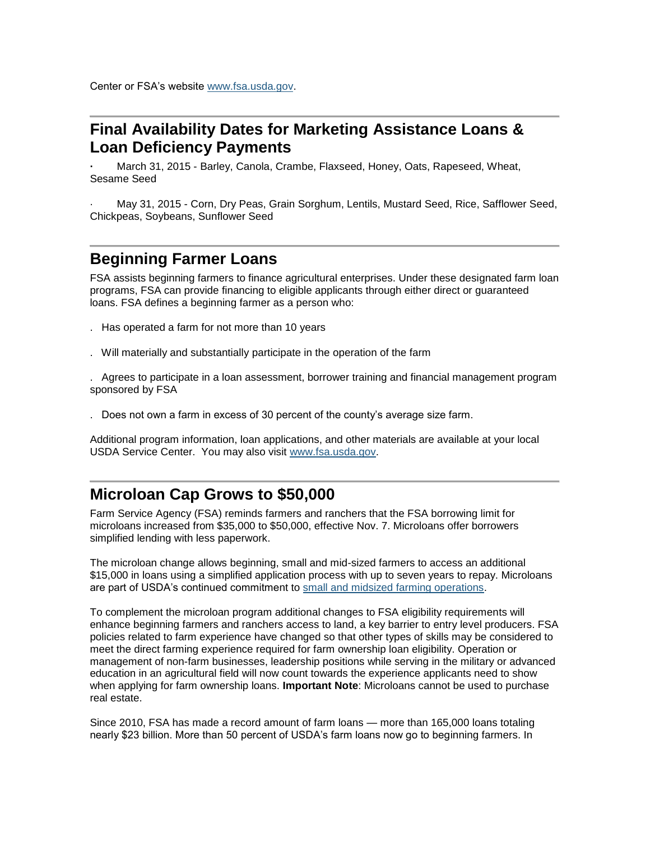#### <span id="page-6-0"></span>**Final Availability Dates for Marketing Assistance Loans & Loan Deficiency Payments**

**·** March 31, 2015 - Barley, Canola, Crambe, Flaxseed, Honey, Oats, Rapeseed, Wheat, Sesame Seed

· May 31, 2015 - Corn, Dry Peas, Grain Sorghum, Lentils, Mustard Seed, Rice, Safflower Seed, Chickpeas, Soybeans, Sunflower Seed

### <span id="page-6-1"></span>**Beginning Farmer Loans**

FSA assists beginning farmers to finance agricultural enterprises. Under these designated farm loan programs, FSA can provide financing to eligible applicants through either direct or guaranteed loans. FSA defines a beginning farmer as a person who:

- . Has operated a farm for not more than 10 years
- . Will materially and substantially participate in the operation of the farm

. Agrees to participate in a loan assessment, borrower training and financial management program sponsored by FSA

. Does not own a farm in excess of 30 percent of the county's average size farm.

Additional program information, loan applications, and other materials are available at your local USDA Service Center. You may also visit [www.fsa.usda.gov.](http://www.fsa.usda.gov/)

#### <span id="page-6-2"></span>**Microloan Cap Grows to \$50,000**

Farm Service Agency (FSA) reminds farmers and ranchers that the FSA borrowing limit for microloans increased from \$35,000 to \$50,000, effective Nov. 7. Microloans offer borrowers simplified lending with less paperwork.

The microloan change allows beginning, small and mid-sized farmers to access an additional \$15,000 in loans using a simplified application process with up to seven years to repay. Microloans are part of USDA's continued commitment to [small and midsized farming operations.](http://www.usda.gov/wps/portal/usda/usdahome?contentidonly=true&contentid=small-midsized-farmer-resources.xml)

To complement the microloan program additional changes to FSA eligibility requirements will enhance beginning farmers and ranchers access to land, a key barrier to entry level producers. FSA policies related to farm experience have changed so that other types of skills may be considered to meet the direct farming experience required for farm ownership loan eligibility. Operation or management of non-farm businesses, leadership positions while serving in the military or advanced education in an agricultural field will now count towards the experience applicants need to show when applying for farm ownership loans. **Important Note**: Microloans cannot be used to purchase real estate.

Since 2010, FSA has made a record amount of farm loans — more than 165,000 loans totaling nearly \$23 billion. More than 50 percent of USDA's farm loans now go to beginning farmers. In